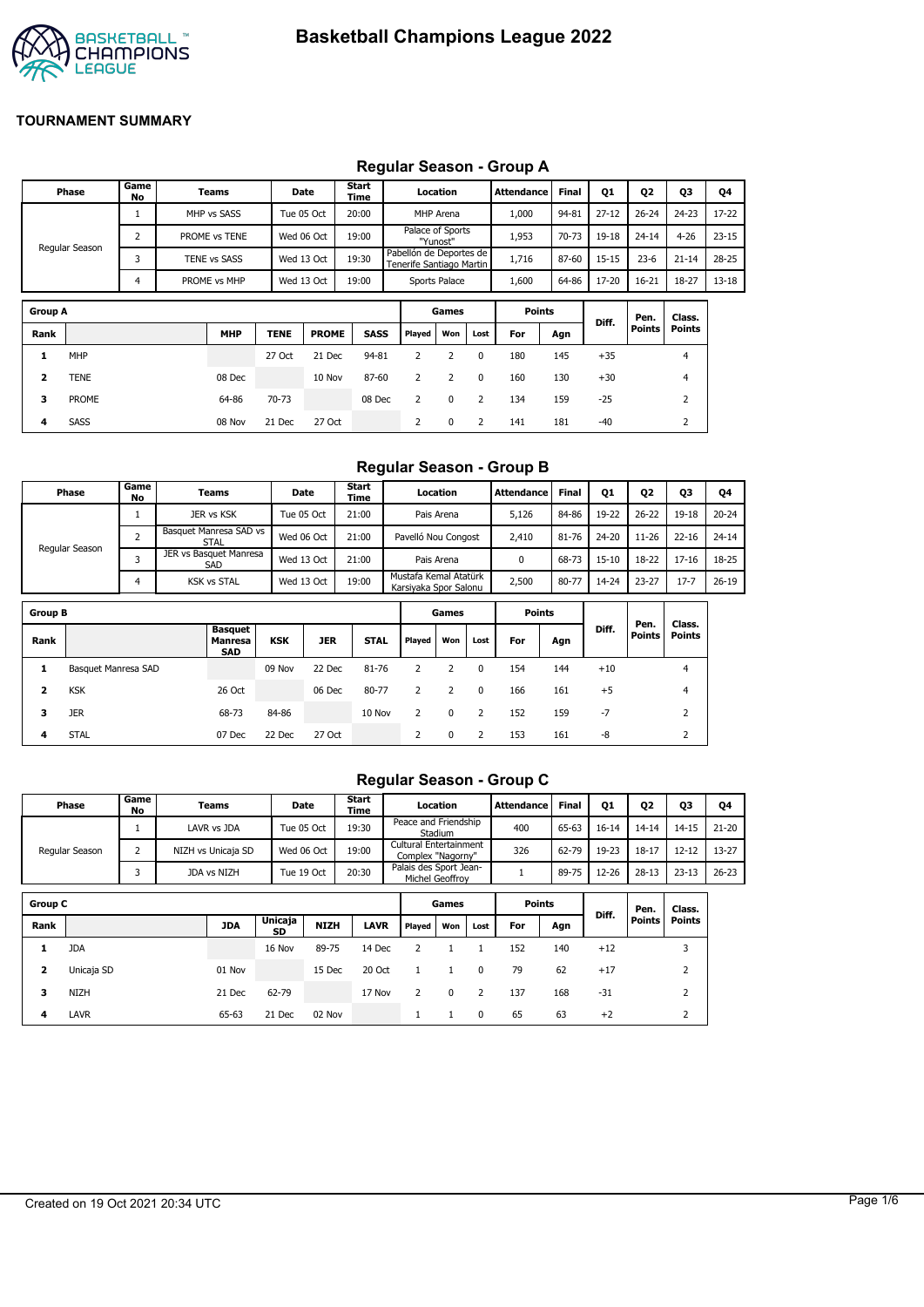

#### **Group A Games Points Diff. Pen. Points Class. Points Rank MHP TENE PROME SASS Played Won Lost For Agn 1** MHP 27 Oct 21 Dec 94-81 2 2 0 180 145 +35 4 **2** TENE 08 Dec 10 Nov 87-60 2 2 0 160 130 +30 4 **Phase Game No Teams Date Start Time Location Attendance Final Q1 Q2 Q3 Q4** Regular Season 1 MHP vs SASS Tue 05 Oct T 20:00 MHP Arena T 1,000 94-81 27-12 T 26-24 T 24-23 T 17-22 2 PROME vs TENE Wed 06 Oct 19:00 Palace of Sports "Yunost" Pabellón de Deportes de 1,953 70-73 19-18 24-14 4-26 23-15 3 TENE vs SASS Wed 13 Oct 19:30 Tenerife Santiago Martin 1,716 87-60 15-15 23-6 21-14 28-25 4 PROME vs MHP | Wed 13 Oct | 19:00 | Sports Palace | 1,600 | 64-86 | 17-20 | 16-21 | 18-27 | 13-18

**3** PROME 64-86 70-73 08 Dec 2 0 2 134 159 -25 2 **4** SASS 08 Nov 21 Dec 27 Oct 2 0 2 141 181 -40 2

### **Regular Season - Group A**

#### **Regular Season - Group B**

|                         | Phase               | Game<br>No     | Teams                                   |            | Date       | Start<br>Time |                                                |                | Location            |                | <b>Attendance</b> | Final | <b>Q1</b> | 02        | 03            | Q4        |
|-------------------------|---------------------|----------------|-----------------------------------------|------------|------------|---------------|------------------------------------------------|----------------|---------------------|----------------|-------------------|-------|-----------|-----------|---------------|-----------|
|                         |                     | 1              | JER vs KSK                              |            | Tue 05 Oct | 21:00         |                                                |                | Pais Arena          |                | 5,126             | 84-86 | 19-22     | $26 - 22$ | $19 - 18$     | $20 - 24$ |
|                         |                     | $\overline{2}$ | Basquet Manresa SAD vs<br><b>STAL</b>   |            | Wed 06 Oct | 21:00         |                                                |                | Pavelló Nou Congost |                | 2,410             | 81-76 | $24 - 20$ | $11 - 26$ | $22 - 16$     | $24 - 14$ |
|                         | Regular Season      | 3              | JER vs Basquet Manresa<br>SAD           |            | Wed 13 Oct | 21:00         |                                                |                | Pais Arena          |                | 0                 | 68-73 | $15 - 10$ | 18-22     | $17 - 16$     | 18-25     |
|                         |                     | 4              | <b>KSK vs STAL</b>                      |            | Wed 13 Oct | 19:00         | Mustafa Kemal Atatürk<br>Karsiyaka Spor Salonu |                |                     |                | 2,500             | 80-77 | 14-24     | $23 - 27$ | $17 - 7$      | $26 - 19$ |
| <b>Group B</b>          |                     |                |                                         |            |            |               |                                                |                | Games               |                | <b>Points</b>     |       |           | Pen.      | Class.        |           |
| Rank                    |                     |                | <b>Basquet</b><br>Manresa<br><b>SAD</b> | <b>KSK</b> | <b>JER</b> | <b>STAL</b>   | Played                                         |                | Won                 | Lost           | For               | Agn   | Diff.     | Points    | <b>Points</b> |           |
| 1                       | Basquet Manresa SAD |                |                                         | 09 Nov     | 22 Dec     | 81-76         | 2                                              |                | 2                   | $\mathbf{0}$   | 154               | 144   | $+10$     |           | 4             |           |
| $\overline{\mathbf{2}}$ | <b>KSK</b>          |                | 26 Oct                                  |            | 06 Dec     | 80-77         |                                                | $\overline{2}$ | $\overline{2}$      | $\mathbf{0}$   | 166               | 161   | $+5$      |           | 4             |           |
| 3                       | <b>JER</b>          |                | 68-73                                   | 84-86      |            | 10 Nov        |                                                | $\overline{2}$ | 0                   | 2              | 152               | 159   | $-7$      |           | 2             |           |
| 4                       | <b>STAL</b>         |                | 07 Dec                                  | 22 Dec     | 27 Oct     |               |                                                | $\overline{2}$ | 0                   | $\overline{2}$ | 153               | 161   | -8        |           | 2             |           |

#### **Regular Season - Group C**

|                | Phase          | Game<br>No | Teams              |         | Date        | Start<br>Time |                                             | Location    |          | <b>Attendance</b> | <b>Final</b> | Q1        | 02                    | 03                      | Q4        |
|----------------|----------------|------------|--------------------|---------|-------------|---------------|---------------------------------------------|-------------|----------|-------------------|--------------|-----------|-----------------------|-------------------------|-----------|
|                |                |            | LAVR vs JDA        |         | Tue 05 Oct  | 19:30         | Peace and Friendship                        | Stadium     |          | 400               | 65-63        | $16 - 14$ | $14 - 14$             | $14 - 15$               | $21 - 20$ |
|                | Regular Season | 2          | NIZH vs Unicaja SD |         | Wed 06 Oct  | 19:00         | Cultural Entertainment<br>Complex "Nagorny" |             |          | 326               | 62-79        | 19-23     | $18 - 17$             | $12 - 12$               | 13-27     |
|                |                | 3          | JDA vs NIZH        |         | Tue 19 Oct  | 20:30         | Palais des Sport Jean-<br>Michel Geoffrov   |             |          |                   | 89-75        | 12-26     | $28-13$               | $23 - 13$               | $26 - 23$ |
| <b>Group C</b> |                |            |                    |         |             |               |                                             | Games       |          | <b>Points</b>     |              |           |                       |                         |           |
| Rank           |                |            | <b>JDA</b>         | Unicaja | <b>NIZH</b> | <b>LAVR</b>   | Played                                      | Won         | Lost     | For               | Agn          | Diff.     | Pen.<br><b>Points</b> | Class.<br><b>Points</b> |           |
|                |                |            |                    | SD      |             |               |                                             |             |          |                   |              |           |                       |                         |           |
| 1              | <b>JDA</b>     |            |                    | 16 Nov  | 89-75       | 14 Dec        | 2                                           | 1           |          | 152               | 140          | $+12$     |                       | 3                       |           |
| 2              | Unicaja SD     |            | 01 Nov             |         | 15 Dec      | 20 Oct        | $\mathbf{1}$                                | 1           | $\Omega$ | 79                | 62           | $+17$     |                       | 2                       |           |
| 3              | <b>NIZH</b>    |            | 21 Dec             | 62-79   |             | 17 Nov        | $\overline{2}$                              | $\mathbf 0$ | 2        | 137               | 168          | $-31$     |                       | $\overline{2}$          |           |
| 4              | LAVR           |            | 65-63              | 21 Dec  | 02 Nov      |               | 1                                           | 1           | 0        | 65                | 63           | $+2$      |                       | 2                       |           |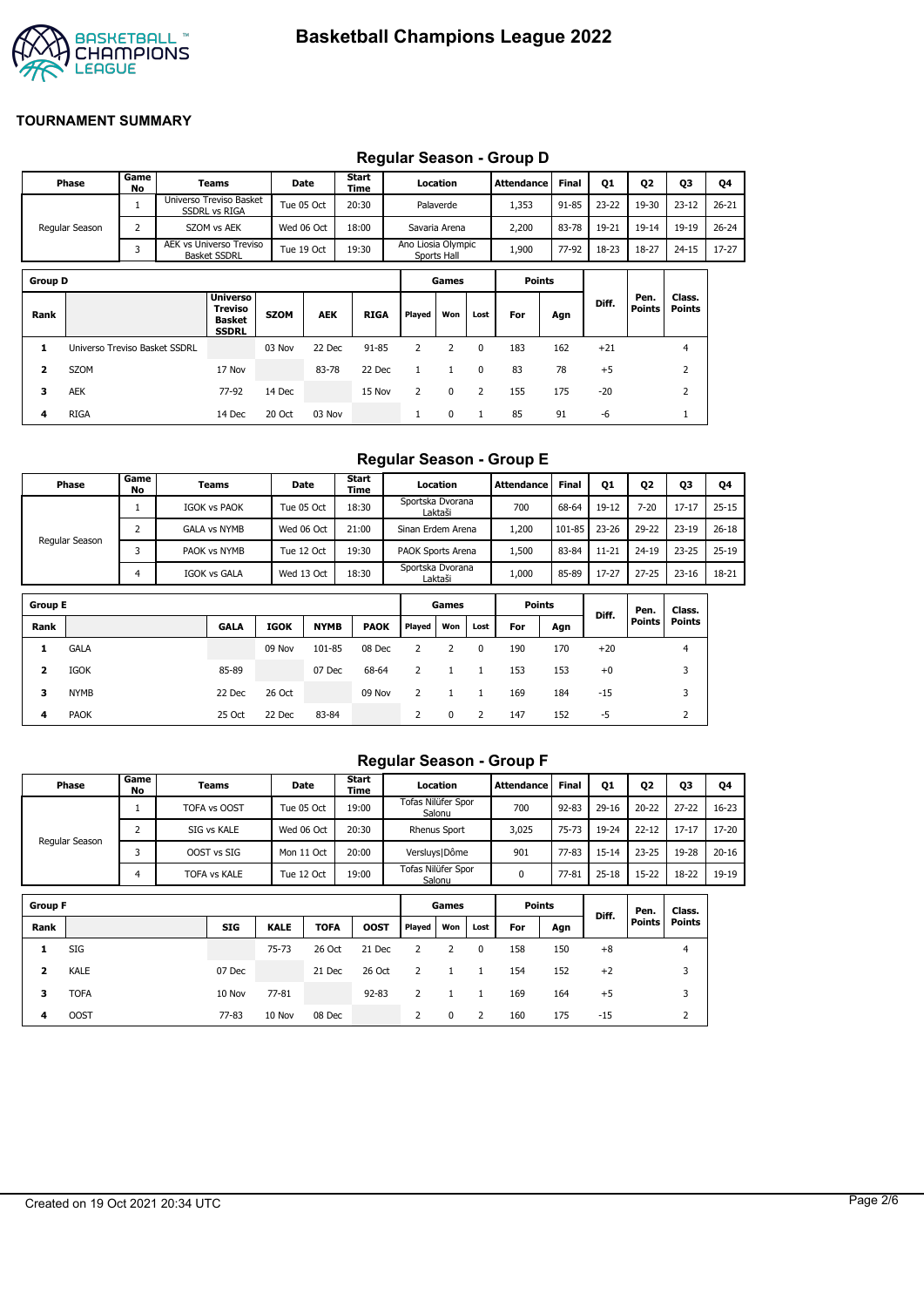

|                |                               |                |                                                             |             |            |               |                    |               |          | ncyulai ocasuli - Oluup D |              |           |                |                         |           |
|----------------|-------------------------------|----------------|-------------------------------------------------------------|-------------|------------|---------------|--------------------|---------------|----------|---------------------------|--------------|-----------|----------------|-------------------------|-----------|
|                | Phase                         | Game<br>No     | Teams                                                       |             | Date       | Start<br>Time |                    | Location      |          | <b>Attendance</b>         | <b>Final</b> | <b>Q1</b> | Q <sub>2</sub> | Q3                      | Q4        |
|                |                               |                | Universo Treviso Basket<br><b>SSDRL vs RIGA</b>             |             | Tue 05 Oct | 20:30         |                    | Palaverde     |          | 1,353                     | $91 - 85$    | $23 - 22$ | 19-30          | $23 - 12$               | $26 - 21$ |
|                | Regular Season                | $\overline{2}$ | SZOM vs AEK                                                 |             | Wed 06 Oct | 18:00         |                    | Savaria Arena |          | 2,200                     | 83-78        | 19-21     | 19-14          | 19-19                   | $26 - 24$ |
|                |                               | 3              | AEK vs Universo Treviso<br><b>Basket SSDRL</b>              |             | Tue 19 Oct | 19:30         | Ano Liosia Olympic | Sports Hall   |          | 1,900                     | 77-92        | 18-23     | 18-27          | $24 - 15$               | $17 - 27$ |
| <b>Group D</b> |                               |                |                                                             |             |            |               |                    | Games         |          | <b>Points</b>             |              |           |                |                         |           |
| Rank           |                               |                | <b>Universo</b><br>Treviso<br><b>Basket</b><br><b>SSDRL</b> | <b>SZOM</b> | <b>AEK</b> | <b>RIGA</b>   | Played             | Won           | Lost     | For                       | Agn          | Diff.     | Pen.<br>Points | Class.<br><b>Points</b> |           |
| 1              | Universo Treviso Basket SSDRL |                |                                                             | 03 Nov      | 22 Dec     | $91 - 85$     | 2                  | 2             | $\Omega$ | 183                       | 162          | $+21$     |                | $\overline{4}$          |           |
| 2              | <b>SZOM</b>                   |                | 17 Nov                                                      |             | 83-78      | 22 Dec        | 1                  | 1             | $\Omega$ | 83                        | 78           | $+5$      |                | 2                       |           |
| 3              | <b>AEK</b>                    |                | 77-92                                                       | 14 Dec      |            | 15 Nov        | $\overline{2}$     | 0             | 2        | 155                       | 175          | $-20$     |                | $\overline{2}$          |           |
| 4              | <b>RIGA</b>                   |                | 14 Dec                                                      | 20 Oct      | 03 Nov     |               |                    | $\Omega$      |          | 85                        | 91           | $-6$      |                |                         |           |

# **Regular Season - Group D**

### **Regular Season - Group E**

|                | Phase          | Game<br>No | Teams               |             | Date        | Start<br>Time |                   | Location     |                | Attendance    | <b>Final</b> | 01        | <b>Q2</b>     | Q3             | Q4        |
|----------------|----------------|------------|---------------------|-------------|-------------|---------------|-------------------|--------------|----------------|---------------|--------------|-----------|---------------|----------------|-----------|
|                |                | T          | <b>IGOK vs PAOK</b> |             | Tue 05 Oct  | 18:30         | Sportska Dvorana  | Laktaši      |                | 700           | 68-64        | 19-12     | $7 - 20$      | $17 - 17$      | $25 - 15$ |
|                | Regular Season | 2          | <b>GALA vs NYMB</b> |             | Wed 06 Oct  | 21:00         | Sinan Erdem Arena |              |                | 1,200         | 101-85       | $23 - 26$ | 29-22         | $23 - 19$      | $26 - 18$ |
|                |                | 3          | PAOK vs NYMB        |             | Tue 12 Oct  | 19:30         | PAOK Sports Arena |              |                | 1,500         | 83-84        | $11 - 21$ | 24-19         | $23 - 25$      | $25-19$   |
|                |                | 4          | <b>IGOK vs GALA</b> |             | Wed 13 Oct  | 18:30         | Sportska Dvorana  | Laktaši      |                | 1,000         | 85-89        | $17 - 27$ | $27 - 25$     | $23 - 16$      | 18-21     |
| <b>Group E</b> |                |            |                     |             |             |               |                   | Games        |                | <b>Points</b> |              |           |               |                |           |
|                |                |            |                     |             |             |               |                   |              |                |               |              | Diff.     | Pen.          | Class.         |           |
| Rank           |                |            | <b>GALA</b>         | <b>IGOK</b> | <b>NYMB</b> | <b>PAOK</b>   | Played            | Won          | Lost           | For           | Agn          |           | <b>Points</b> | <b>Points</b>  |           |
| 1              | <b>GALA</b>    |            |                     | 09 Nov      | 101-85      | 08 Dec        | 2                 | 2            | 0              | 190           | 170          | $+20$     |               | $\overline{4}$ |           |
| 2              | <b>IGOK</b>    |            | 85-89               |             | 07 Dec      | 68-64         | $\overline{2}$    | $\mathbf{1}$ | $\mathbf{1}$   | 153           | 153          | $+0$      |               | 3              |           |
| 3              | <b>NYMB</b>    |            | 22 Dec              | 26 Oct      |             | 09 Nov        | 2                 | 1            | $\mathbf{1}$   | 169           | 184          | $-15$     |               | 3              |           |
| 4              | <b>PAOK</b>    |            | 25 Oct              | 22 Dec      | 83-84       |               | 2                 | $\mathbf 0$  | $\overline{2}$ | 147           | 152          | $-5$      |               | 2              |           |

## **Regular Season - Group F**

| Phase          | Game<br>No | Teams               | <b>Date</b> | <b>Start</b><br>Time | Location                     | <b>Attendance</b> | <b>Final</b> | Q1        | Q <sub>2</sub> | Q3        | Q4        |
|----------------|------------|---------------------|-------------|----------------------|------------------------------|-------------------|--------------|-----------|----------------|-----------|-----------|
|                |            | TOFA vs OOST        | Tue 05 Oct  | 19:00                | Tofas Nilüfer Spor<br>Salonu | 700               | 92-83        | $29 - 16$ | $20 - 22$      | $27 - 22$ | $16 - 23$ |
|                |            | SIG vs KALE         | Wed 06 Oct  | 20:30                | <b>Rhenus Sport</b>          | 3,025             | $75 - 73$    | 19-24     | $22 - 12$      | $17 - 17$ | $17 - 20$ |
| Regular Season |            | OOST vs SIG         | Mon 11 Oct  | 20:00                | Versluys   Dôme              | 901               | $77 - 83$    | $15 - 14$ | $23 - 25$      | 19-28     | $20 - 16$ |
|                | Δ          | <b>TOFA vs KALE</b> | Tue 12 Oct  | 19:00                | Tofas Nilüfer Spor<br>Salonu |                   | 77-81        | $25 - 18$ | 15-22          | 18-22     | 19-19     |
|                |            |                     |             |                      |                              |                   |              |           |                |           |           |

| <b>Group F</b> |             |            |             | Games       |             | <b>Points</b> |          | Diff.    | Pen. | Class. |       |               |               |
|----------------|-------------|------------|-------------|-------------|-------------|---------------|----------|----------|------|--------|-------|---------------|---------------|
| Rank           |             | <b>SIG</b> | <b>KALE</b> | <b>TOFA</b> | <b>OOST</b> | Played        | Won      | Lost     | For  | Agn    |       | <b>Points</b> | <b>Points</b> |
| 1              | SIG         |            | $75 - 73$   | 26 Oct      | 21 Dec      | 2             |          | $\Omega$ | 158  | 150    | $+8$  |               | 4             |
| 2              | KALE        | 07 Dec     |             | 21 Dec      | 26 Oct      | 2             |          |          | 154  | 152    | $+2$  |               | 3             |
| 3              | <b>TOFA</b> | 10 Nov     | $77 - 81$   |             | $92 - 83$   | 2             |          |          | 169  | 164    | $+5$  |               | 3             |
| 4              | <b>OOST</b> | 77-83      | 10 Nov      | 08 Dec      |             |               | $\Omega$ |          | 160  | 175    | $-15$ |               |               |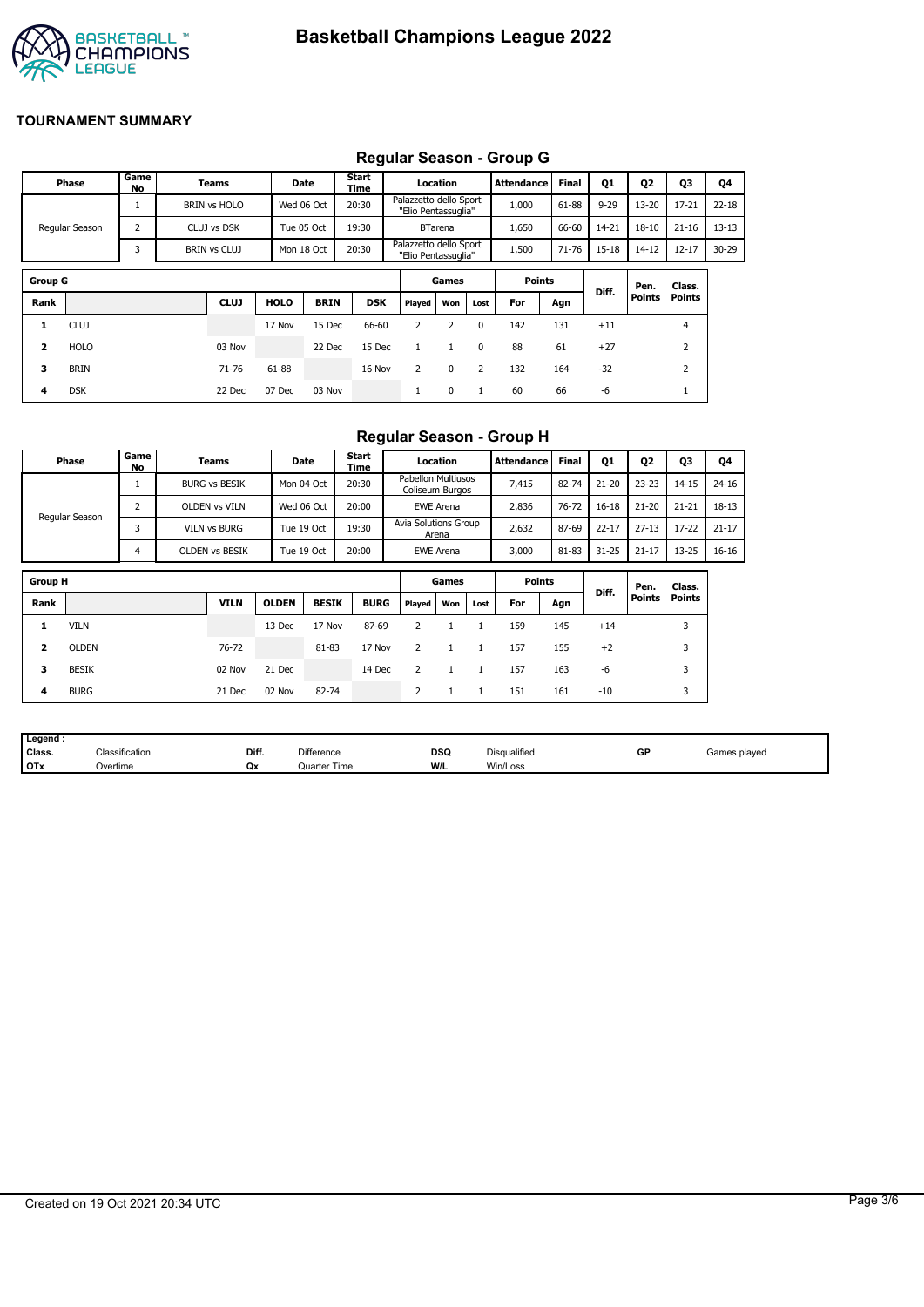

#### **Group G Games Points Diff. Pen. Points Class. Points Rank CLUJ HOLO BRIN DSK Played Won Lost For Agn 1** CLUJ 17 Nov 15 Dec 66-60 2 2 0 142 131 +11 4 **2** HOLO 03 Nov 22 Dec 15 Dec 1 1 0 88 61 +27 2 **3** BRIN 71-76 61-88 16 Nov 2 0 2 132 164 -32 2 **4** DSK 22 Dec 07 Dec 03 Nov 1 0 1 60 66 -6 1 **Phase Game No Teams Date Start Time Location Attendance Final Q1 Q2 Q3 Q4** Regular Season 1 BRIN vs HOLO Wed 06 Oct 20:30 Palazzetto dello Sport "Elio Pentassuglia" 1,000 61-88 9-29 13-20 17-21 22-18 2 CLUJ vs DSK Tue 05 Oct 1 19:30 Tue BTarena 1,650 1 66-60 1 14-21 18-10 1 21-16 1 13-13 3 BRIN vs CLUJ Mon 18 Oct 20:30 Palazzetto dello Sport "Elio Pentassuglia" 1,500 71-76 15-18 14-12 12-17 30-29

# **Regular Season - Group G**

# **Regular Season - Group H**

|                         | Phase                                                    | Game<br>No     | <b>Teams</b>          |              | Date         | Start<br><b>Time</b>          |  |                                       | Location         |              | Attendance    | <b>Final</b> | <b>Q1</b> | Q2            | Q3            | Q4        |
|-------------------------|----------------------------------------------------------|----------------|-----------------------|--------------|--------------|-------------------------------|--|---------------------------------------|------------------|--------------|---------------|--------------|-----------|---------------|---------------|-----------|
|                         |                                                          |                | <b>BURG vs BESIK</b>  |              | Mon 04 Oct   | 20:30                         |  | Pabellon Multiusos<br>Coliseum Burgos |                  |              | 7,415         | 82-74        | $21 - 20$ | $23 - 23$     | $14 - 15$     | $24 - 16$ |
|                         |                                                          | $\overline{2}$ | <b>OLDEN vs VILN</b>  |              | Wed 06 Oct   | 20:00                         |  |                                       | <b>EWE Arena</b> |              | 2,836         | 76-72        | $16 - 18$ | $21 - 20$     | $21 - 21$     | $18-13$   |
|                         | Regular Season<br>3<br><b>VILN vs BURG</b><br>Tue 19 Oct |                |                       | 19:30        |              | Avia Solutions Group<br>Arena |  | 2,632                                 | 87-69            | $22 - 17$    | $27 - 13$     | $17 - 22$    | $21 - 17$ |               |               |           |
|                         |                                                          | 4              | <b>OLDEN VS BESIK</b> |              | Tue 19 Oct   | 20:00                         |  |                                       | <b>EWE Arena</b> |              | 3,000         | 81-83        | $31 - 25$ | $21 - 17$     | $13 - 25$     | $16 - 16$ |
| <b>Group H</b>          |                                                          |                |                       |              |              |                               |  |                                       | Games            |              | <b>Points</b> |              |           |               |               |           |
|                         |                                                          |                |                       |              |              |                               |  |                                       |                  |              |               |              | Diff.     | Pen.          | Class.        |           |
| Rank                    |                                                          |                | <b>VILN</b>           | <b>OLDEN</b> | <b>BESIK</b> | <b>BURG</b>                   |  | Played                                | Won              | Lost         | For           | Agn          |           | <b>Points</b> | <b>Points</b> |           |
| 1                       | <b>VILN</b>                                              |                |                       | 13 Dec       | 17 Nov       | 87-69                         |  | 2                                     | 1                | $\mathbf{1}$ | 159           | 145          | $+14$     |               | 3             |           |
| $\overline{\mathbf{2}}$ | <b>OLDEN</b>                                             |                | 76-72                 |              | 81-83        | 17 Nov                        |  | $\overline{2}$                        | 1                | $\mathbf{1}$ | 157           | 155          | $+2$      |               | 3             |           |
| 3                       | <b>BESIK</b>                                             |                | 02 Nov                | 21 Dec       |              | 14 Dec                        |  | 2                                     | $\mathbf{1}$     | $\mathbf{1}$ | 157           | 163          | $-6$      |               | 3             |           |
| 4                       | <b>BURG</b>                                              |                | 21 Dec                | 02 Nov       | 82-74        |                               |  | 2                                     | $\mathbf{1}$     | 1            | 151           | 161          | $-10$     |               | 3             |           |

| Legend     |                          |       |                     |            |              |    |              |
|------------|--------------------------|-------|---------------------|------------|--------------|----|--------------|
| Class.     | $\sim$<br>Classification | Diff. | <b>Difference</b>   | <b>DSQ</b> | Disqualified | GF | Games played |
| <b>OTx</b> | Overtime                 | Qx    | <b>Quarter Time</b> | W/L        | Win/Loss     |    |              |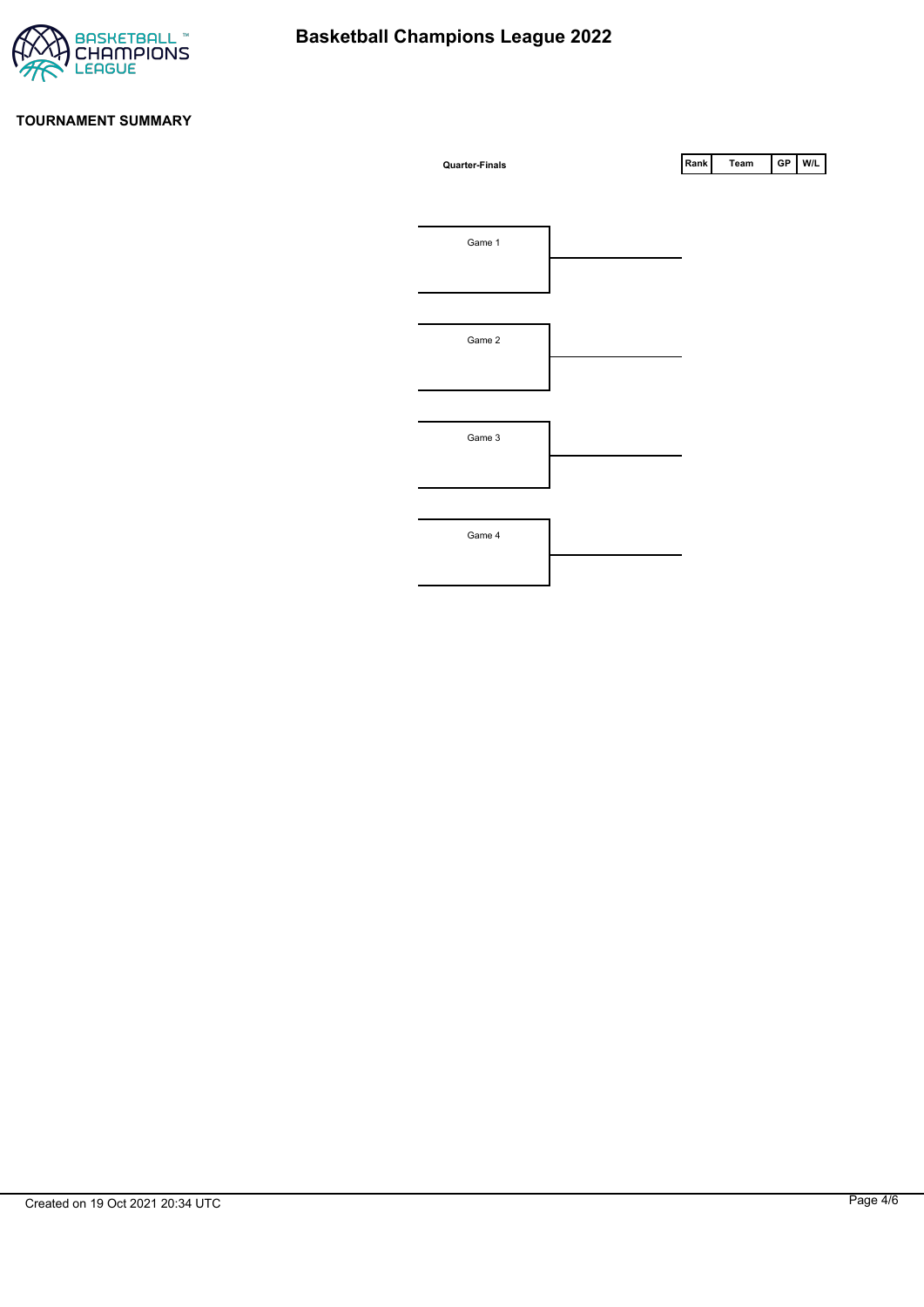

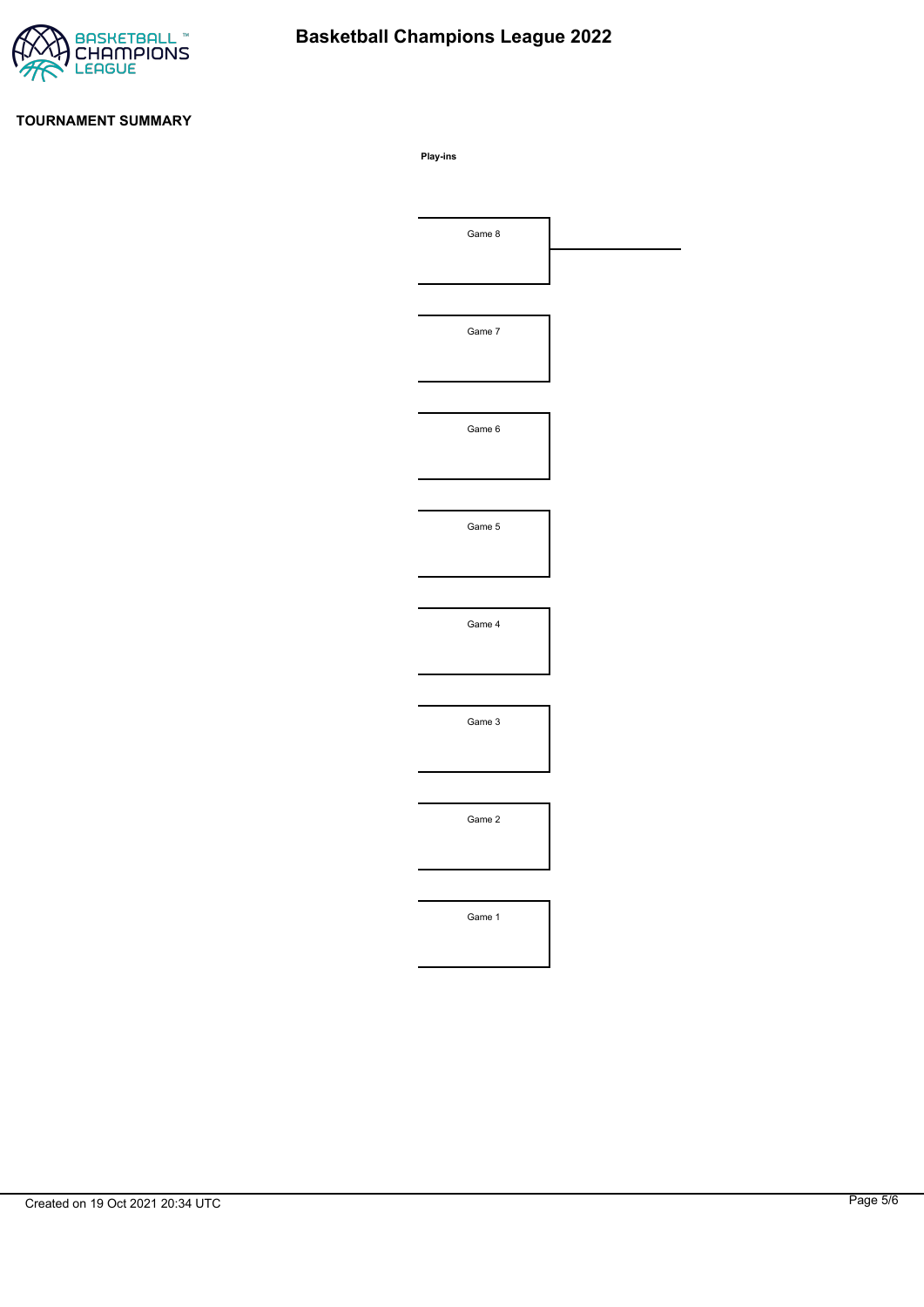

# **Basketball Champions League 2022**

### **TOURNAMENT SUMMARY**

**Play-ins**

| Game 8 |  |
|--------|--|
|        |  |
|        |  |
| Game 7 |  |
|        |  |
|        |  |
| Game 6 |  |
|        |  |
|        |  |
| Game 5 |  |
|        |  |
|        |  |
| Game 4 |  |
|        |  |
|        |  |
| Game 3 |  |
|        |  |
|        |  |
| Game 2 |  |
|        |  |
|        |  |
|        |  |
| Game 1 |  |
|        |  |
|        |  |